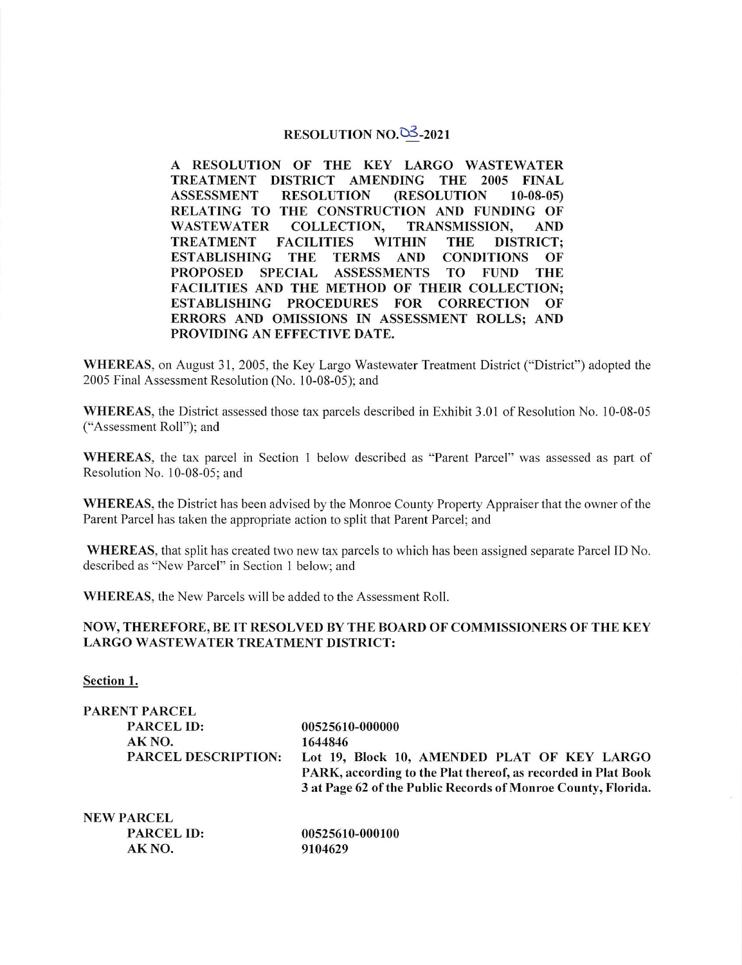## RESOLUTION NO. $\overline{03}$ -2021

A RESOLUTION OF THE KEY LARGO WASTEWATER TREATMENT DISTRICT AMENDING THE 2005 FINAL<br>ASSESSMENT RESOLUTION (RESOLUTION 10-08-05) RESOLUTION (RESOLUTION 10-08-05) RELATING TO THE CONSTRUCTION AND FUNDING OF WASTEWATER COLLECTION, TRANSMISSION, AND COLLECTION, TRANSMISSION, AND<br>FACILITIES WITHIN THE DISTRICT: **TREATMENT** ESTABLISHING THE TERMS AND CONDITIONS OF<br>PROPOSED SPECIAL ASSESSMENTS TO FUND THE **ASSESSMENTS** FACILITIES AND THE METHOD OF THEIR COLLECTION; ESTABLISHING PROCEDURES FOR CORRECTION OF ERRORS AND OMISSIONS IN ASSESSMENT ROLLS; AND PROVIDING AN EFFECTIVE DATE.

WHEREAS, on August 31, 2005, the Key Largo Wastewater Treatment District ("District") adopted the 2005 Final Assessment Resolution (No. 10-08-05); and

WHEREAS, the District assessed those tax parcels described in Exhibit 3.01 of Resolution No. 10-08-05 ("Assessment Roll"); and

WHEREAS, the tax parcel in Section 1 below described as "Parent Parcel" was assessed as part of Resolution No. 10-08-05; and

WHEREAS, the District has been advised by the Monroe County Property Appraiser that the owner of the Parent Parcel has taken the appropriate action to split that Parent Parcel; and

WHEREAS, that split has created two new tax parcels to which has been assigned separate Parcel ID No. described as "New Parcel" in Section 1 below; and

WHEREAS, the New Parcels will be added to the Assessment Roll.

AK NO. 9104629

## NOW, THEREFORE, BE IT RESOLVED BY THE BOARD OF COMMISSIONERS OF THE KEY LARGO WASTEWATER TREATMENT DISTRICT:

Section 1.

| PARENT PARCEL              |                                                               |
|----------------------------|---------------------------------------------------------------|
| <b>PARCEL ID:</b>          | 00525610-000000                                               |
| AK NO.                     | 1644846                                                       |
| <b>PARCEL DESCRIPTION:</b> | Lot 19, Block 10, AMENDED PLAT OF KEY LARGO                   |
|                            | PARK, according to the Plat thereof, as recorded in Plat Book |
|                            | 3 at Page 62 of the Public Records of Monroe County, Florida. |
| <b>NEW PARCEL</b>          |                                                               |
| <b>PARCEL ID:</b>          | 00525610-000100                                               |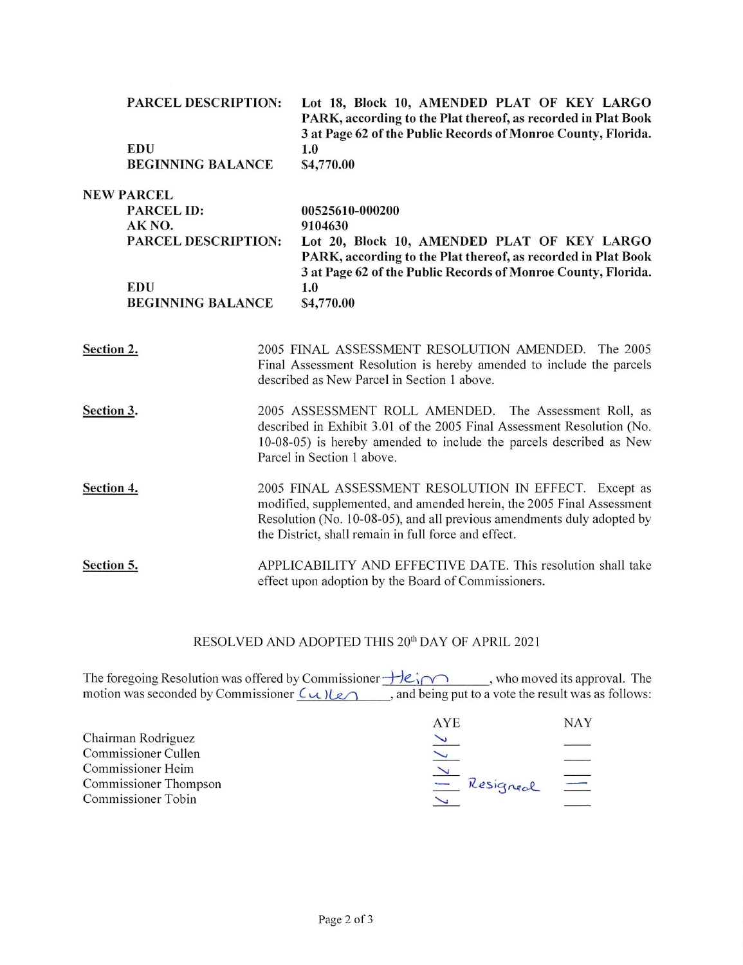|            | <b>PARCEL DESCRIPTION:</b><br><b>EDU</b><br><b>BEGINNING BALANCE</b> | Lot 18, Block 10, AMENDED PLAT OF KEY LARGO<br>PARK, according to the Plat thereof, as recorded in Plat Book<br>3 at Page 62 of the Public Records of Monroe County, Florida.<br>1.0<br>\$4,770.00 |  |
|------------|----------------------------------------------------------------------|----------------------------------------------------------------------------------------------------------------------------------------------------------------------------------------------------|--|
|            | <b>NEW PARCEL</b>                                                    |                                                                                                                                                                                                    |  |
|            | <b>PARCEL ID:</b>                                                    | 00525610-000200                                                                                                                                                                                    |  |
|            | AK NO.                                                               | 9104630                                                                                                                                                                                            |  |
|            | <b>PARCEL DESCRIPTION:</b>                                           | Lot 20, Block 10, AMENDED PLAT OF KEY LARGO<br>PARK, according to the Plat thereof, as recorded in Plat Book                                                                                       |  |
|            |                                                                      | 3 at Page 62 of the Public Records of Monroe County, Florida.                                                                                                                                      |  |
|            | <b>EDU</b>                                                           | 1.0                                                                                                                                                                                                |  |
|            | <b>BEGINNING BALANCE</b>                                             | \$4,770.00                                                                                                                                                                                         |  |
|            |                                                                      |                                                                                                                                                                                                    |  |
| Section 2. |                                                                      | 2005 FINAL ASSESSMENT RESOLUTION AMENDED. The 2005                                                                                                                                                 |  |
|            |                                                                      | Final Assessment Resolution is hereby amended to include the parcels<br>described as New Parcel in Section 1 above.                                                                                |  |
|            |                                                                      |                                                                                                                                                                                                    |  |
| Section 3. |                                                                      | 2005 ASSESSMENT ROLL AMENDED. The Assessment Roll, as                                                                                                                                              |  |
|            |                                                                      | described in Exhibit 3.01 of the 2005 Final Assessment Resolution (No.<br>10-08-05) is hereby amended to include the parcels described as New                                                      |  |
|            |                                                                      | Parcel in Section 1 above.                                                                                                                                                                         |  |
|            |                                                                      |                                                                                                                                                                                                    |  |
| Section 4. |                                                                      | 2005 FINAL ASSESSMENT RESOLUTION IN EFFECT. Except as<br>modified, supplemented, and amended herein, the 2005 Final Assessment                                                                     |  |
|            |                                                                      | Resolution (No. 10-08-05), and all previous amendments duly adopted by                                                                                                                             |  |
|            |                                                                      | the District, shall remain in full force and effect.                                                                                                                                               |  |

Section 5. APPLICABILITY AND EFFECTIVE DATE. This resolution shall take effect upon adoption by the Board of Commissioners.

## RESOLVED AND ADOPTED THIS 20<sup>th</sup> DAY OF APRIL 2021

The foregoing Resolution was offered by Commissioner  $\overrightarrow{H}e_i \cap \overrightarrow{ }$ , who moved its approval. The motion was seconded by Commissioner  $\zeta(u)\leq u$ , and being put to a vote the result was as follows:

|                           | AYE.      | <b>NAY</b>               |
|---------------------------|-----------|--------------------------|
| Chairman Rodriguez        |           |                          |
| Commissioner Cullen       |           |                          |
| <b>Commissioner Heim</b>  |           |                          |
| Commissioner Thompson     | Resigneal | $\overline{\phantom{a}}$ |
| <b>Commissioner Tobin</b> |           |                          |